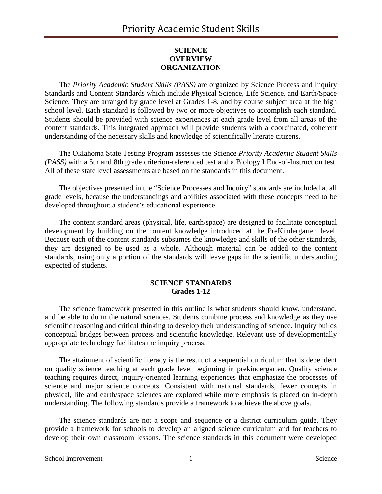## **SCIENCE OVERVIEW ORGANIZATION**

The *Priority Academic Student Skills (PASS)* are organized by Science Process and Inquiry Standards and Content Standards which include Physical Science, Life Science, and Earth/Space Science. They are arranged by grade level at Grades 1-8, and by course subject area at the high school level. Each standard is followed by two or more objectives to accomplish each standard. Students should be provided with science experiences at each grade level from all areas of the content standards. This integrated approach will provide students with a coordinated, coherent understanding of the necessary skills and knowledge of scientifically literate citizens.

The Oklahoma State Testing Program assesses the Science *Priority Academic Student Skills (PASS)* with a 5th and 8th grade criterion-referenced test and a Biology I End-of-Instruction test. All of these state level assessments are based on the standards in this document.

The objectives presented in the "Science Processes and Inquiry" standards are included at all grade levels, because the understandings and abilities associated with these concepts need to be developed throughout a student's educational experience.

The content standard areas (physical, life, earth/space) are designed to facilitate conceptual development by building on the content knowledge introduced at the PreKindergarten level. Because each of the content standards subsumes the knowledge and skills of the other standards, they are designed to be used as a whole. Although material can be added to the content standards, using only a portion of the standards will leave gaps in the scientific understanding expected of students.

#### **SCIENCE STANDARDS Grades 1-12**

The science framework presented in this outline is what students should know, understand, and be able to do in the natural sciences. Students combine process and knowledge as they use scientific reasoning and critical thinking to develop their understanding of science. Inquiry builds conceptual bridges between process and scientific knowledge. Relevant use of developmentally appropriate technology facilitates the inquiry process.

The attainment of scientific literacy is the result of a sequential curriculum that is dependent on quality science teaching at each grade level beginning in prekindergarten. Quality science teaching requires direct, inquiry-oriented learning experiences that emphasize the processes of science and major science concepts. Consistent with national standards, fewer concepts in physical, life and earth/space sciences are explored while more emphasis is placed on in-depth understanding. The following standards provide a framework to achieve the above goals.

The science standards are not a scope and sequence or a district curriculum guide. They provide a framework for schools to develop an aligned science curriculum and for teachers to develop their own classroom lessons. The science standards in this document were developed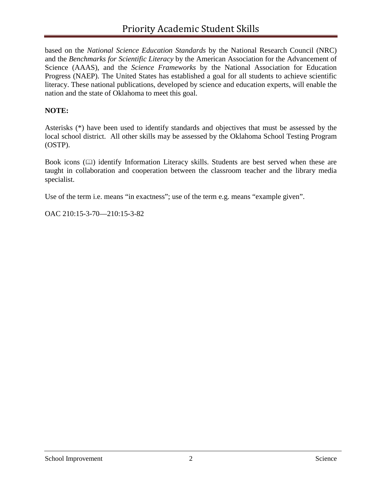based on the *National Science Education Standards* by the National Research Council (NRC) and the *Benchmarks for Scientific Literacy* by the American Association for the Advancement of Science (AAAS), and the *Science Frameworks* by the National Association for Education Progress (NAEP). The United States has established a goal for all students to achieve scientific literacy. These national publications, developed by science and education experts, will enable the nation and the state of Oklahoma to meet this goal.

## **NOTE:**

Asterisks (\*) have been used to identify standards and objectives that must be assessed by the local school district. All other skills may be assessed by the Oklahoma School Testing Program (OSTP).

Book icons  $(\Box)$  identify Information Literacy skills. Students are best served when these are taught in collaboration and cooperation between the classroom teacher and the library media specialist.

Use of the term i.e. means "in exactness"; use of the term e.g. means "example given".

OAC 210:15-3-70—210:15-3-82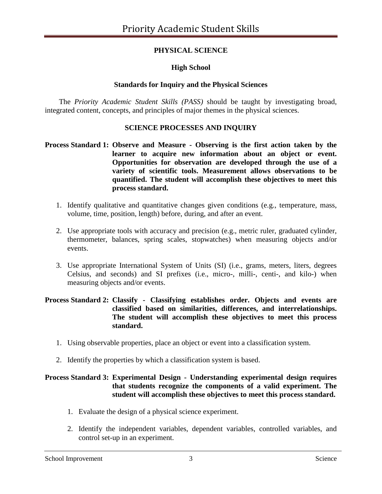# **PHYSICAL SCIENCE**

## **High School**

## **Standards for Inquiry and the Physical Sciences**

The *Priority Academic Student Skills (PASS)* should be taught by investigating broad, integrated content, concepts, and principles of major themes in the physical sciences.

### **SCIENCE PROCESSES AND INQUIRY**

### **Process Standard 1: Observe and Measure - Observing is the first action taken by the learner to acquire new information about an object or event. Opportunities for observation are developed through the use of a variety of scientific tools. Measurement allows observations to be quantified. The student will accomplish these objectives to meet this process standard.**

- 1. Identify qualitative and quantitative changes given conditions (e.g., temperature, mass, volume, time, position, length) before, during, and after an event.
- 2. Use appropriate tools with accuracy and precision (e.g., metric ruler, graduated cylinder, thermometer, balances, spring scales, stopwatches) when measuring objects and/or events.
- 3. Use appropriate International System of Units (SI) (i.e., grams, meters, liters, degrees Celsius, and seconds) and SI prefixes (i.e., micro-, milli-, centi-, and kilo-) when measuring objects and/or events.

#### **Process Standard 2: Classify - Classifying establishes order. Objects and events are classified based on similarities, differences, and interrelationships. The student will accomplish these objectives to meet this process standard.**

- 1. Using observable properties, place an object or event into a classification system.
- 2. Identify the properties by which a classification system is based.

#### **Process Standard 3: Experimental Design - Understanding experimental design requires that students recognize the components of a valid experiment. The student will accomplish these objectives to meet this process standard.**

- 1. Evaluate the design of a physical science experiment.
- 2. Identify the independent variables, dependent variables, controlled variables, and control set-up in an experiment.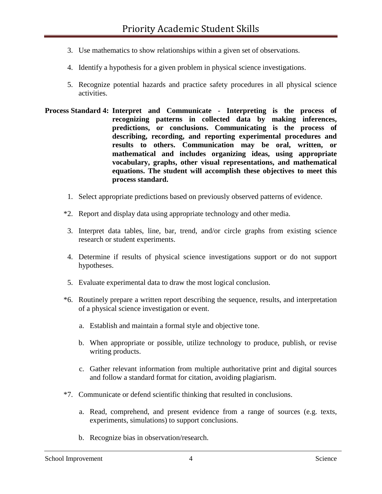- 3. Use mathematics to show relationships within a given set of observations.
- 4. Identify a hypothesis for a given problem in physical science investigations.
- 5. Recognize potential hazards and practice safety procedures in all physical science activities.
- **Process Standard 4: Interpret and Communicate - Interpreting is the process of recognizing patterns in collected data by making inferences, predictions, or conclusions. Communicating is the process of describing, recording, and reporting experimental procedures and results to others. Communication may be oral, written, or mathematical and includes organizing ideas, using appropriate vocabulary, graphs, other visual representations, and mathematical equations. The student will accomplish these objectives to meet this process standard.**
	- 1. Select appropriate predictions based on previously observed patterns of evidence.
	- \*2. Report and display data using appropriate technology and other media.
	- 3. Interpret data tables, line, bar, trend, and/or circle graphs from existing science research or student experiments.
	- 4. Determine if results of physical science investigations support or do not support hypotheses.
	- 5. Evaluate experimental data to draw the most logical conclusion.
	- \*6. Routinely prepare a written report describing the sequence, results, and interpretation of a physical science investigation or event.
		- a. Establish and maintain a formal style and objective tone.
		- b. When appropriate or possible, utilize technology to produce, publish, or revise writing products.
		- c. Gather relevant information from multiple authoritative print and digital sources and follow a standard format for citation, avoiding plagiarism.
	- \*7. Communicate or defend scientific thinking that resulted in conclusions.
		- a. Read, comprehend, and present evidence from a range of sources (e.g. texts, experiments, simulations) to support conclusions.
		- b. Recognize bias in observation/research.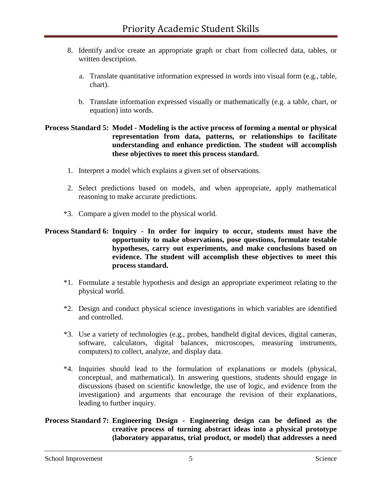- 8. Identify and/or create an appropriate graph or chart from collected data, tables, or written description.
	- a. Translate quantitative information expressed in words into visual form (e.g., table, chart).
	- b. Translate information expressed visually or mathematically (e.g. a table, chart, or equation) into words.

#### **Process Standard 5: Model - Modeling is the active process of forming a mental or physical representation from data, patterns, or relationships to facilitate understanding and enhance prediction. The student will accomplish these objectives to meet this process standard.**

- 1. Interpret a model which explains a given set of observations.
- 2. Select predictions based on models, and when appropriate, apply mathematical reasoning to make accurate predictions.
- \*3. Compare a given model to the physical world.

### **Process Standard 6: Inquiry - In order for inquiry to occur, students must have the opportunity to make observations, pose questions, formulate testable hypotheses, carry out experiments, and make conclusions based on evidence. The student will accomplish these objectives to meet this process standard.**

- \*1. Formulate a testable hypothesis and design an appropriate experiment relating to the physical world.
- \*2. Design and conduct physical science investigations in which variables are identified and controlled.
- \*3. Use a variety of technologies (e.g., probes, handheld digital devices, digital cameras, software, calculators, digital balances, microscopes, measuring instruments, computers) to collect, analyze, and display data.
- \*4. Inquiries should lead to the formulation of explanations or models (physical, conceptual, and mathematical). In answering questions, students should engage in discussions (based on scientific knowledge, the use of logic, and evidence from the investigation) and arguments that encourage the revision of their explanations, leading to further inquiry.

#### **Process Standard 7: Engineering Design - Engineering design can be defined as the creative process of turning abstract ideas into a physical prototype (laboratory apparatus, trial product, or model) that addresses a need**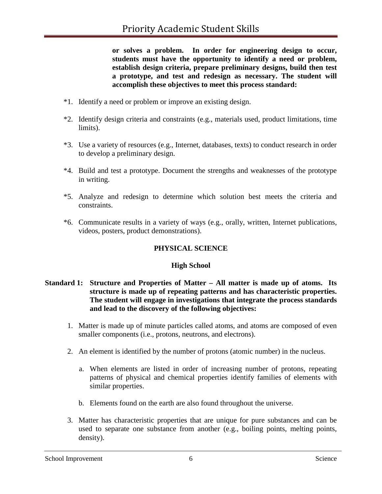**or solves a problem. In order for engineering design to occur, students must have the opportunity to identify a need or problem, establish design criteria, prepare preliminary designs, build then test a prototype, and test and redesign as necessary. The student will accomplish these objectives to meet this process standard:**

- \*1. Identify a need or problem or improve an existing design.
- \*2. Identify design criteria and constraints (e.g., materials used, product limitations, time limits).
- \*3. Use a variety of resources (e.g., Internet, databases, texts) to conduct research in order to develop a preliminary design.
- \*4. Build and test a prototype. Document the strengths and weaknesses of the prototype in writing.
- \*5. Analyze and redesign to determine which solution best meets the criteria and constraints.
- \*6. Communicate results in a variety of ways (e.g., orally, written, Internet publications, videos, posters, product demonstrations).

# **PHYSICAL SCIENCE**

### **High School**

## **Standard 1: Structure and Properties of Matter – All matter is made up of atoms. Its structure is made up of repeating patterns and has characteristic properties. The student will engage in investigations that integrate the process standards and lead to the discovery of the following objectives:**

- 1. Matter is made up of minute particles called atoms, and atoms are composed of even smaller components (i.e., protons, neutrons, and electrons).
- 2. An element is identified by the number of protons (atomic number) in the nucleus.
	- a. When elements are listed in order of increasing number of protons, repeating patterns of physical and chemical properties identify families of elements with similar properties.
	- b. Elements found on the earth are also found throughout the universe.
- 3. Matter has characteristic properties that are unique for pure substances and can be used to separate one substance from another (e.g., boiling points, melting points, density).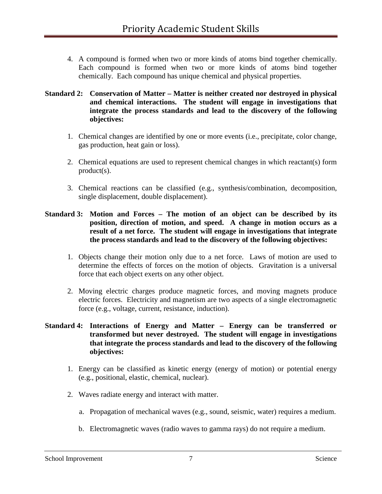4. A compound is formed when two or more kinds of atoms bind together chemically. Each compound is formed when two or more kinds of atoms bind together chemically. Each compound has unique chemical and physical properties.

### **Standard 2: Conservation of Matter – Matter is neither created nor destroyed in physical and chemical interactions. The student will engage in investigations that integrate the process standards and lead to the discovery of the following objectives:**

- 1. Chemical changes are identified by one or more events (i.e., precipitate, color change, gas production, heat gain or loss).
- 2. Chemical equations are used to represent chemical changes in which reactant(s) form product(s).
- 3. Chemical reactions can be classified (e.g., synthesis/combination, decomposition, single displacement, double displacement).

#### **Standard 3: Motion and Forces – The motion of an object can be described by its position, direction of motion, and speed. A change in motion occurs as a result of a net force. The student will engage in investigations that integrate the process standards and lead to the discovery of the following objectives:**

- 1. Objects change their motion only due to a net force. Laws of motion are used to determine the effects of forces on the motion of objects. Gravitation is a universal force that each object exerts on any other object.
- 2. Moving electric charges produce magnetic forces, and moving magnets produce electric forces. Electricity and magnetism are two aspects of a single electromagnetic force (e.g., voltage, current, resistance, induction).

### **Standard 4: Interactions of Energy and Matter – Energy can be transferred or transformed but never destroyed. The student will engage in investigations that integrate the process standards and lead to the discovery of the following objectives:**

- 1. Energy can be classified as kinetic energy (energy of motion) or potential energy (e.g., positional, elastic, chemical, nuclear).
- 2. Waves radiate energy and interact with matter.
	- a. Propagation of mechanical waves (e.g., sound, seismic, water) requires a medium.
	- b. Electromagnetic waves (radio waves to gamma rays) do not require a medium.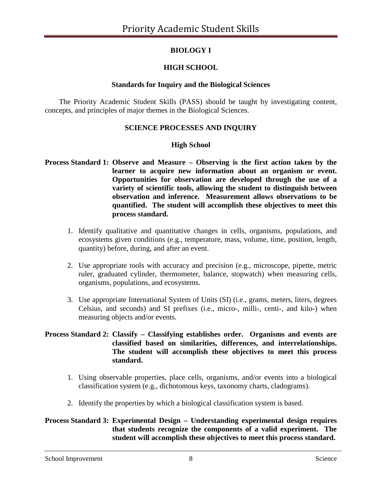# **BIOLOGY I**

# **HIGH SCHOOL**

## **Standards for Inquiry and the Biological Sciences**

The Priority Academic Student Skills (PASS) should be taught by investigating content, concepts, and principles of major themes in the Biological Sciences.

## **SCIENCE PROCESSES AND INQUIRY**

## **High School**

- **Process Standard 1: Observe and Measure – Observing is the first action taken by the learner to acquire new information about an organism or event. Opportunities for observation are developed through the use of a variety of scientific tools, allowing the student to distinguish between observation and inference. Measurement allows observations to be quantified. The student will accomplish these objectives to meet this process standard.**
	- 1. Identify qualitative and quantitative changes in cells, organisms, populations, and ecosystems given conditions (e.g., temperature, mass, volume, time, position, length, quantity) before, during, and after an event.
	- 2. Use appropriate tools with accuracy and precision (e.g., microscope, pipette, metric ruler, graduated cylinder, thermometer, balance, stopwatch) when measuring cells, organisms, populations, and ecosystems.
	- 3. Use appropriate International System of Units (SI) (i.e., grams, meters, liters, degrees Celsius, and seconds) and SI prefixes (i.e., micro-, milli-, centi-, and kilo-) when measuring objects and/or events.

### **Process Standard 2: Classify – Classifying establishes order. Organisms and events are classified based on similarities, differences, and interrelationships. The student will accomplish these objectives to meet this process standard.**

- 1. Using observable properties, place cells, organisms, and/or events into a biological classification system (e.g., dichotomous keys, taxonomy charts, cladograms).
- 2. Identify the properties by which a biological classification system is based.

## **Process Standard 3: Experimental Design – Understanding experimental design requires that students recognize the components of a valid experiment. The student will accomplish these objectives to meet this process standard.**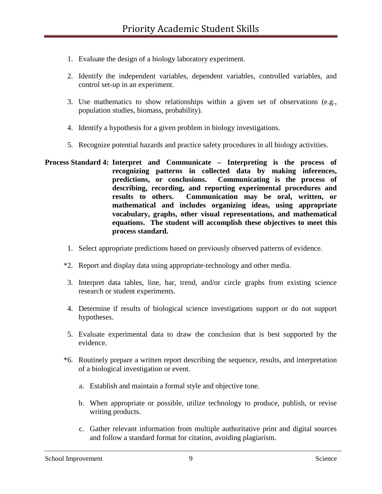- 1. Evaluate the design of a biology laboratory experiment.
- 2. Identify the independent variables, dependent variables, controlled variables, and control set-up in an experiment.
- 3. Use mathematics to show relationships within a given set of observations (e.g., population studies, biomass, probability).
- 4. Identify a hypothesis for a given problem in biology investigations.
- 5. Recognize potential hazards and practice safety procedures in all biology activities.
- **Process Standard 4: Interpret and Communicate – Interpreting is the process of recognizing patterns in collected data by making inferences, predictions, or conclusions. Communicating is the process of describing, recording, and reporting experimental procedures and results to others. Communication may be oral, written, or mathematical and includes organizing ideas, using appropriate vocabulary, graphs, other visual representations, and mathematical equations. The student will accomplish these objectives to meet this process standard.**
	- 1. Select appropriate predictions based on previously observed patterns of evidence.
	- \*2. Report and display data using appropriate-technology and other media.
	- 3. Interpret data tables, line, bar, trend, and/or circle graphs from existing science research or student experiments.
	- 4. Determine if results of biological science investigations support or do not support hypotheses.
	- 5. Evaluate experimental data to draw the conclusion that is best supported by the evidence.
	- \*6. Routinely prepare a written report describing the sequence, results, and interpretation of a biological investigation or event.
		- a. Establish and maintain a formal style and objective tone.
		- b. When appropriate or possible, utilize technology to produce, publish, or revise writing products.
		- c. Gather relevant information from multiple authoritative print and digital sources and follow a standard format for citation, avoiding plagiarism.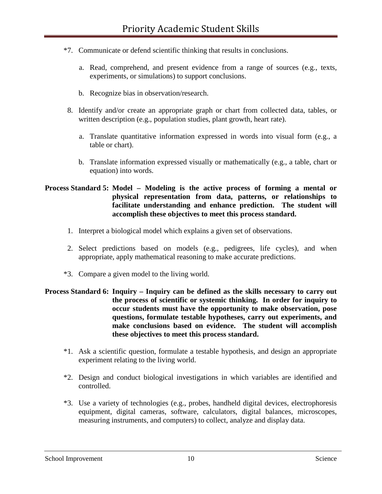- \*7. Communicate or defend scientific thinking that results in conclusions.
	- a. Read, comprehend, and present evidence from a range of sources (e.g., texts, experiments, or simulations) to support conclusions.
	- b. Recognize bias in observation/research.
- 8. Identify and/or create an appropriate graph or chart from collected data, tables, or written description (e.g., population studies, plant growth, heart rate).
	- a. Translate quantitative information expressed in words into visual form (e.g., a table or chart).
	- b. Translate information expressed visually or mathematically (e.g., a table, chart or equation) into words.

## **Process Standard 5: Model – Modeling is the active process of forming a mental or physical representation from data, patterns, or relationships to facilitate understanding and enhance prediction. The student will accomplish these objectives to meet this process standard.**

- 1. Interpret a biological model which explains a given set of observations.
- 2. Select predictions based on models (e.g., pedigrees, life cycles), and when appropriate, apply mathematical reasoning to make accurate predictions.
- \*3. Compare a given model to the living world.

### **Process Standard 6: Inquiry – Inquiry can be defined as the skills necessary to carry out the process of scientific or systemic thinking. In order for inquiry to occur students must have the opportunity to make observation, pose questions, formulate testable hypotheses, carry out experiments, and make conclusions based on evidence. The student will accomplish these objectives to meet this process standard.**

- \*1. Ask a scientific question, formulate a testable hypothesis, and design an appropriate experiment relating to the living world.
- \*2. Design and conduct biological investigations in which variables are identified and controlled.
- \*3. Use a variety of technologies (e.g., probes, handheld digital devices, electrophoresis equipment, digital cameras, software, calculators, digital balances, microscopes, measuring instruments, and computers) to collect, analyze and display data.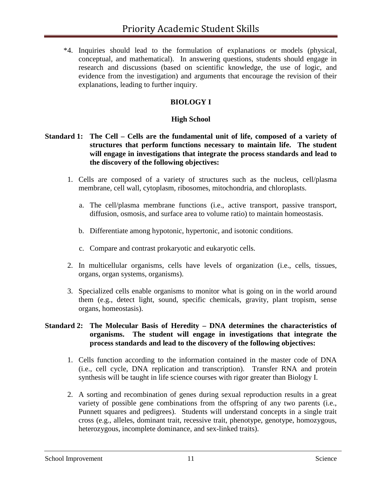\*4. Inquiries should lead to the formulation of explanations or models (physical, conceptual, and mathematical). In answering questions, students should engage in research and discussions (based on scientific knowledge, the use of logic, and evidence from the investigation) and arguments that encourage the revision of their explanations, leading to further inquiry.

# **BIOLOGY I**

## **High School**

### **Standard 1: The Cell – Cells are the fundamental unit of life, composed of a variety of structures that perform functions necessary to maintain life. The student will engage in investigations that integrate the process standards and lead to the discovery of the following objectives:**

- 1. Cells are composed of a variety of structures such as the nucleus, cell/plasma membrane, cell wall, cytoplasm, ribosomes, mitochondria, and chloroplasts.
	- a. The cell/plasma membrane functions (i.e., active transport, passive transport, diffusion, osmosis, and surface area to volume ratio) to maintain homeostasis.
	- b. Differentiate among hypotonic, hypertonic, and isotonic conditions.
	- c. Compare and contrast prokaryotic and eukaryotic cells.
- 2. In multicellular organisms, cells have levels of organization (i.e., cells, tissues, organs, organ systems, organisms).
- 3. Specialized cells enable organisms to monitor what is going on in the world around them (e.g., detect light, sound, specific chemicals, gravity, plant tropism, sense organs, homeostasis).

#### **Standard 2: The Molecular Basis of Heredity – DNA determines the characteristics of organisms. The student will engage in investigations that integrate the process standards and lead to the discovery of the following objectives:**

- 1. Cells function according to the information contained in the master code of DNA (i.e., cell cycle, DNA replication and transcription). Transfer RNA and protein synthesis will be taught in life science courses with rigor greater than Biology I.
- 2. A sorting and recombination of genes during sexual reproduction results in a great variety of possible gene combinations from the offspring of any two parents (i.e., Punnett squares and pedigrees). Students will understand concepts in a single trait cross (e.g., alleles, dominant trait, recessive trait, phenotype, genotype, homozygous, heterozygous, incomplete dominance, and sex-linked traits).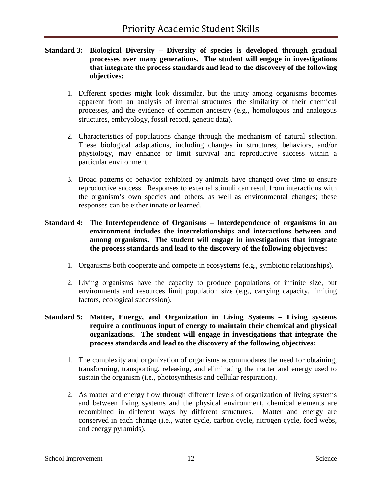#### **Standard 3: Biological Diversity – Diversity of species is developed through gradual processes over many generations. The student will engage in investigations that integrate the process standards and lead to the discovery of the following objectives:**

- 1. Different species might look dissimilar, but the unity among organisms becomes apparent from an analysis of internal structures, the similarity of their chemical processes, and the evidence of common ancestry (e.g., homologous and analogous structures, embryology, fossil record, genetic data).
- 2. Characteristics of populations change through the mechanism of natural selection. These biological adaptations, including changes in structures, behaviors, and/or physiology, may enhance or limit survival and reproductive success within a particular environment.
- 3. Broad patterns of behavior exhibited by animals have changed over time to ensure reproductive success. Responses to external stimuli can result from interactions with the organism's own species and others, as well as environmental changes; these responses can be either innate or learned.

#### **Standard 4: The Interdependence of Organisms – Interdependence of organisms in an environment includes the interrelationships and interactions between and among organisms. The student will engage in investigations that integrate the process standards and lead to the discovery of the following objectives:**

- 1. Organisms both cooperate and compete in ecosystems (e.g., symbiotic relationships).
- 2. Living organisms have the capacity to produce populations of infinite size, but environments and resources limit population size (e.g., carrying capacity, limiting factors, ecological succession).

### **Standard 5: Matter, Energy, and Organization in Living Systems – Living systems require a continuous input of energy to maintain their chemical and physical organizations. The student will engage in investigations that integrate the process standards and lead to the discovery of the following objectives:**

- 1. The complexity and organization of organisms accommodates the need for obtaining, transforming, transporting, releasing, and eliminating the matter and energy used to sustain the organism (i.e., photosynthesis and cellular respiration).
- 2. As matter and energy flow through different levels of organization of living systems and between living systems and the physical environment, chemical elements are recombined in different ways by different structures. Matter and energy are conserved in each change (i.e., water cycle, carbon cycle, nitrogen cycle, food webs, and energy pyramids).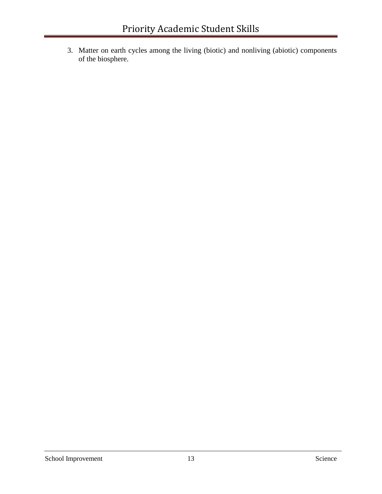3. Matter on earth cycles among the living (biotic) and nonliving (abiotic) components of the biosphere.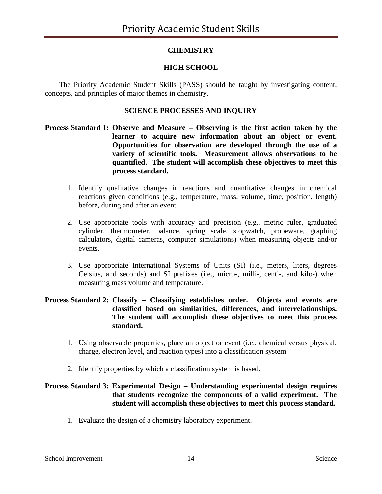# **CHEMISTRY**

# **HIGH SCHOOL**

The Priority Academic Student Skills (PASS) should be taught by investigating content, concepts, and principles of major themes in chemistry.

## **SCIENCE PROCESSES AND INQUIRY**

- **Process Standard 1: Observe and Measure – Observing is the first action taken by the learner to acquire new information about an object or event. Opportunities for observation are developed through the use of a variety of scientific tools. Measurement allows observations to be quantified. The student will accomplish these objectives to meet this process standard.**
	- 1. Identify qualitative changes in reactions and quantitative changes in chemical reactions given conditions (e.g., temperature, mass, volume, time, position, length) before, during and after an event.
	- 2. Use appropriate tools with accuracy and precision (e.g., metric ruler, graduated cylinder, thermometer, balance, spring scale, stopwatch, probeware, graphing calculators, digital cameras, computer simulations) when measuring objects and/or events.
	- 3. Use appropriate International Systems of Units (SI) (i.e., meters, liters, degrees Celsius, and seconds) and SI prefixes (i.e., micro-, milli-, centi-, and kilo-) when measuring mass volume and temperature.

#### **Process Standard 2: Classify – Classifying establishes order. Objects and events are classified based on similarities, differences, and interrelationships. The student will accomplish these objectives to meet this process standard.**

- 1. Using observable properties, place an object or event (i.e., chemical versus physical, charge, electron level, and reaction types) into a classification system
- 2. Identify properties by which a classification system is based.

#### **Process Standard 3: Experimental Design – Understanding experimental design requires that students recognize the components of a valid experiment. The student will accomplish these objectives to meet this process standard.**

1. Evaluate the design of a chemistry laboratory experiment.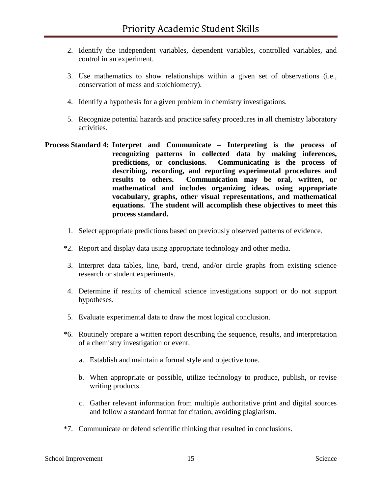- 2. Identify the independent variables, dependent variables, controlled variables, and control in an experiment.
- 3. Use mathematics to show relationships within a given set of observations (i.e., conservation of mass and stoichiometry).
- 4. Identify a hypothesis for a given problem in chemistry investigations.
- 5. Recognize potential hazards and practice safety procedures in all chemistry laboratory activities.
- **Process Standard 4: Interpret and Communicate – Interpreting is the process of recognizing patterns in collected data by making inferences, predictions, or conclusions. Communicating is the process of describing, recording, and reporting experimental procedures and results to others. Communication may be oral, written, or mathematical and includes organizing ideas, using appropriate vocabulary, graphs, other visual representations, and mathematical equations. The student will accomplish these objectives to meet this process standard.**
	- 1. Select appropriate predictions based on previously observed patterns of evidence.
	- \*2. Report and display data using appropriate technology and other media.
	- 3. Interpret data tables, line, bard, trend, and/or circle graphs from existing science research or student experiments.
	- 4. Determine if results of chemical science investigations support or do not support hypotheses.
	- 5. Evaluate experimental data to draw the most logical conclusion.
	- \*6. Routinely prepare a written report describing the sequence, results, and interpretation of a chemistry investigation or event.
		- a. Establish and maintain a formal style and objective tone.
		- b. When appropriate or possible, utilize technology to produce, publish, or revise writing products.
		- c. Gather relevant information from multiple authoritative print and digital sources and follow a standard format for citation, avoiding plagiarism.
	- \*7. Communicate or defend scientific thinking that resulted in conclusions.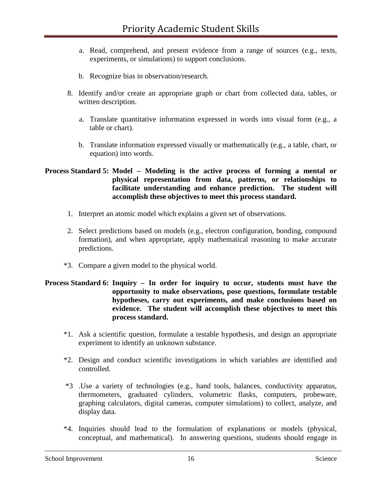- a. Read, comprehend, and present evidence from a range of sources (e.g., texts, experiments, or simulations) to support conclusions.
- b. Recognize bias in observation/research.
- 8. Identify and/or create an appropriate graph or chart from collected data, tables, or written description.
	- a. Translate quantitative information expressed in words into visual form (e.g., a table or chart).
	- b. Translate information expressed visually or mathematically (e.g., a table, chart, or equation) into words.

#### **Process Standard 5: Model – Modeling is the active process of forming a mental or physical representation from data, patterns, or relationships to facilitate understanding and enhance prediction. The student will accomplish these objectives to meet this process standard.**

- 1. Interpret an atomic model which explains a given set of observations.
- 2. Select predictions based on models (e.g., electron configuration, bonding, compound formation), and when appropriate, apply mathematical reasoning to make accurate predictions.
- \*3. Compare a given model to the physical world.

### **Process Standard 6: Inquiry – In order for inquiry to occur, students must have the opportunity to make observations, pose questions, formulate testable hypotheses, carry out experiments, and make conclusions based on evidence. The student will accomplish these objectives to meet this process standard.**

- \*1. Ask a scientific question, formulate a testable hypothesis, and design an appropriate experiment to identify an unknown substance.
- \*2. Design and conduct scientific investigations in which variables are identified and controlled.
- \*3 .Use a variety of technologies (e.g., hand tools, balances, conductivity apparatus, thermometers, graduated cylinders, volumetric flasks, computers, probeware, graphing calculators, digital cameras, computer simulations) to collect, analyze, and display data.
- \*4. Inquiries should lead to the formulation of explanations or models (physical, conceptual, and mathematical). In answering questions, students should engage in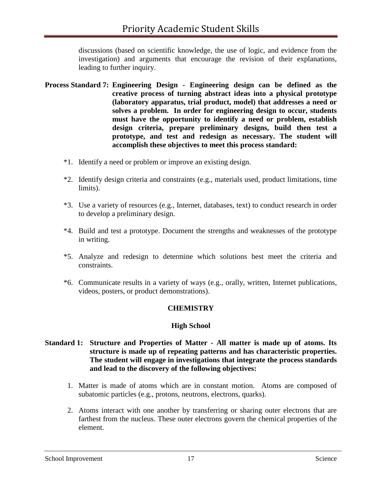discussions (based on scientific knowledge, the use of logic, and evidence from the investigation) and arguments that encourage the revision of their explanations, leading to further inquiry.

- **Process Standard 7: Engineering Design - Engineering design can be defined as the creative process of turning abstract ideas into a physical prototype (laboratory apparatus, trial product, model) that addresses a need or solves a problem. In order for engineering design to occur, students must have the opportunity to identify a need or problem, establish design criteria, prepare preliminary designs, build then test a prototype, and test and redesign as necessary. The student will accomplish these objectives to meet this process standard:**
	- \*1. Identify a need or problem or improve an existing design.
	- \*2. Identify design criteria and constraints (e.g., materials used, product limitations, time limits).
	- \*3. Use a variety of resources (e.g., Internet, databases, text) to conduct research in order to develop a preliminary design.
	- \*4. Build and test a prototype. Document the strengths and weaknesses of the prototype in writing.
	- \*5. Analyze and redesign to determine which solutions best meet the criteria and constraints.
	- \*6. Communicate results in a variety of ways (e.g., orally, written, Internet publications, videos, posters, or product demonstrations).

### **CHEMISTRY**

#### **High School**

#### **Standard 1: Structure and Properties of Matter - All matter is made up of atoms. Its structure is made up of repeating patterns and has characteristic properties. The student will engage in investigations that integrate the process standards and lead to the discovery of the following objectives:**

- 1. Matter is made of atoms which are in constant motion. Atoms are composed of subatomic particles (e.g., protons, neutrons, electrons, quarks).
- 2. Atoms interact with one another by transferring or sharing outer electrons that are farthest from the nucleus. These outer electrons govern the chemical properties of the element.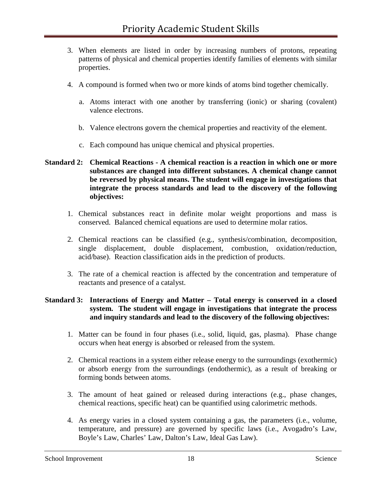- 3. When elements are listed in order by increasing numbers of protons, repeating patterns of physical and chemical properties identify families of elements with similar properties.
- 4. A compound is formed when two or more kinds of atoms bind together chemically.
	- a. Atoms interact with one another by transferring (ionic) or sharing (covalent) valence electrons.
	- b. Valence electrons govern the chemical properties and reactivity of the element.
	- c. Each compound has unique chemical and physical properties.

## **Standard 2: Chemical Reactions - A chemical reaction is a reaction in which one or more substances are changed into different substances. A chemical change cannot be reversed by physical means. The student will engage in investigations that integrate the process standards and lead to the discovery of the following objectives:**

- 1. Chemical substances react in definite molar weight proportions and mass is conserved. Balanced chemical equations are used to determine molar ratios.
- 2. Chemical reactions can be classified (e.g., synthesis/combination, decomposition, single displacement, double displacement, combustion, oxidation/reduction, acid/base). Reaction classification aids in the prediction of products.
- 3. The rate of a chemical reaction is affected by the concentration and temperature of reactants and presence of a catalyst.

### **Standard 3: Interactions of Energy and Matter – Total energy is conserved in a closed system. The student will engage in investigations that integrate the process and inquiry standards and lead to the discovery of the following objectives:**

- 1. Matter can be found in four phases (i.e., solid, liquid, gas, plasma). Phase change occurs when heat energy is absorbed or released from the system.
- 2. Chemical reactions in a system either release energy to the surroundings (exothermic) or absorb energy from the surroundings (endothermic), as a result of breaking or forming bonds between atoms.
- 3. The amount of heat gained or released during interactions (e.g., phase changes, chemical reactions, specific heat) can be quantified using calorimetric methods.
- 4. As energy varies in a closed system containing a gas, the parameters (i.e., volume, temperature, and pressure) are governed by specific laws (i.e., Avogadro's Law, Boyle's Law, Charles' Law, Dalton's Law, Ideal Gas Law).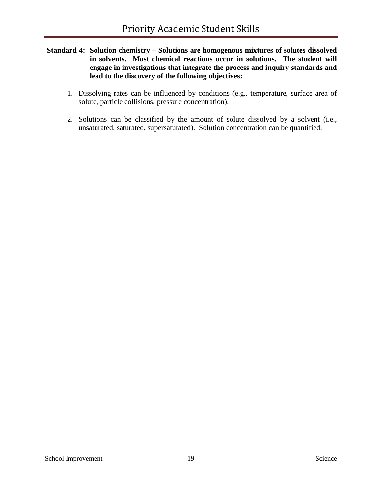- **Standard 4: Solution chemistry – Solutions are homogenous mixtures of solutes dissolved in solvents. Most chemical reactions occur in solutions. The student will engage in investigations that integrate the process and inquiry standards and lead to the discovery of the following objectives:**
	- 1. Dissolving rates can be influenced by conditions (e.g., temperature, surface area of solute, particle collisions, pressure concentration).
	- 2. Solutions can be classified by the amount of solute dissolved by a solvent (i.e., unsaturated, saturated, supersaturated). Solution concentration can be quantified.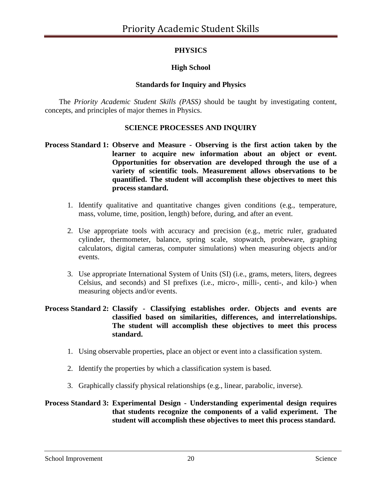# **PHYSICS**

# **High School**

### **Standards for Inquiry and Physics**

The *Priority Academic Student Skills (PASS)* should be taught by investigating content, concepts, and principles of major themes in Physics.

### **SCIENCE PROCESSES AND INQUIRY**

### **Process Standard 1: Observe and Measure - Observing is the first action taken by the learner to acquire new information about an object or event. Opportunities for observation are developed through the use of a variety of scientific tools. Measurement allows observations to be quantified. The student will accomplish these objectives to meet this process standard.**

- 1. Identify qualitative and quantitative changes given conditions (e.g., temperature, mass, volume, time, position, length) before, during, and after an event.
- 2. Use appropriate tools with accuracy and precision (e.g., metric ruler, graduated cylinder, thermometer, balance, spring scale, stopwatch, probeware, graphing calculators, digital cameras, computer simulations) when measuring objects and/or events.
- 3. Use appropriate International System of Units (SI) (i.e., grams, meters, liters, degrees Celsius, and seconds) and SI prefixes (i.e., micro-, milli-, centi-, and kilo-) when measuring objects and/or events.

#### **Process Standard 2: Classify - Classifying establishes order. Objects and events are classified based on similarities, differences, and interrelationships. The student will accomplish these objectives to meet this process standard.**

- 1. Using observable properties, place an object or event into a classification system.
- 2. Identify the properties by which a classification system is based.
- 3. Graphically classify physical relationships (e.g., linear, parabolic, inverse).

### **Process Standard 3: Experimental Design - Understanding experimental design requires that students recognize the components of a valid experiment. The student will accomplish these objectives to meet this process standard.**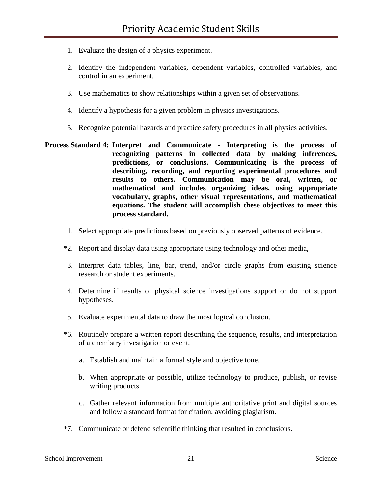- 1. Evaluate the design of a physics experiment.
- 2. Identify the independent variables, dependent variables, controlled variables, and control in an experiment.
- 3. Use mathematics to show relationships within a given set of observations.
- 4. Identify a hypothesis for a given problem in physics investigations.
- 5. Recognize potential hazards and practice safety procedures in all physics activities.
- **Process Standard 4: Interpret and Communicate - Interpreting is the process of recognizing patterns in collected data by making inferences, predictions, or conclusions. Communicating is the process of describing, recording, and reporting experimental procedures and results to others. Communication may be oral, written, or mathematical and includes organizing ideas, using appropriate vocabulary, graphs, other visual representations, and mathematical equations. The student will accomplish these objectives to meet this process standard.** 
	- 1. Select appropriate predictions based on previously observed patterns of evidence.
	- \*2. Report and display data using appropriate using technology and other media.
	- 3. Interpret data tables, line, bar, trend, and/or circle graphs from existing science research or student experiments.
	- 4. Determine if results of physical science investigations support or do not support hypotheses.
	- 5. Evaluate experimental data to draw the most logical conclusion.
	- \*6. Routinely prepare a written report describing the sequence, results, and interpretation of a chemistry investigation or event.
		- a. Establish and maintain a formal style and objective tone.
		- b. When appropriate or possible, utilize technology to produce, publish, or revise writing products.
		- c. Gather relevant information from multiple authoritative print and digital sources and follow a standard format for citation, avoiding plagiarism.
	- \*7. Communicate or defend scientific thinking that resulted in conclusions.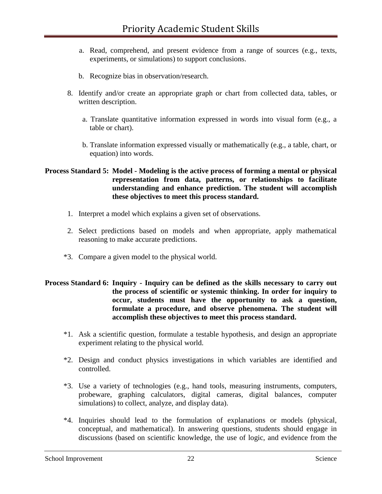- a. Read, comprehend, and present evidence from a range of sources (e.g., texts, experiments, or simulations) to support conclusions.
- b. Recognize bias in observation/research.
- 8. Identify and/or create an appropriate graph or chart from collected data, tables, or written description.
	- a. Translate quantitative information expressed in words into visual form (e.g., a table or chart).
	- b. Translate information expressed visually or mathematically (e.g., a table, chart, or equation) into words.

#### **Process Standard 5: Model - Modeling is the active process of forming a mental or physical representation from data, patterns, or relationships to facilitate understanding and enhance prediction. The student will accomplish these objectives to meet this process standard.**

- 1. Interpret a model which explains a given set of observations.
- 2. Select predictions based on models and when appropriate, apply mathematical reasoning to make accurate predictions.
- \*3. Compare a given model to the physical world.

#### **Process Standard 6: Inquiry - Inquiry can be defined as the skills necessary to carry out the process of scientific or systemic thinking. In order for inquiry to occur, students must have the opportunity to ask a question, formulate a procedure, and observe phenomena. The student will accomplish these objectives to meet this process standard.**

- \*1. Ask a scientific question, formulate a testable hypothesis, and design an appropriate experiment relating to the physical world.
- \*2. Design and conduct physics investigations in which variables are identified and controlled.
- \*3. Use a variety of technologies (e.g., hand tools, measuring instruments, computers, probeware, graphing calculators, digital cameras, digital balances, computer simulations) to collect, analyze, and display data).
- \*4. Inquiries should lead to the formulation of explanations or models (physical, conceptual, and mathematical). In answering questions, students should engage in discussions (based on scientific knowledge, the use of logic, and evidence from the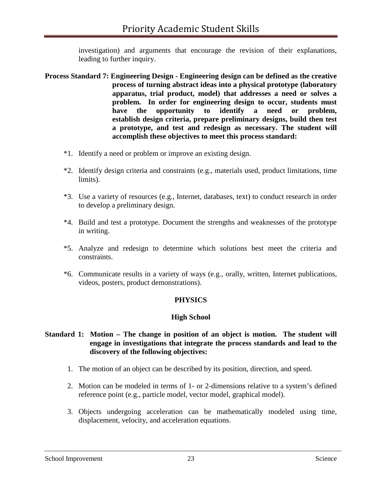investigation) and arguments that encourage the revision of their explanations, leading to further inquiry.

- **Process Standard 7: Engineering Design - Engineering design can be defined as the creative process of turning abstract ideas into a physical prototype (laboratory apparatus, trial product, model) that addresses a need or solves a problem. In order for engineering design to occur, students must have the opportunity to identify a need or problem, establish design criteria, prepare preliminary designs, build then test a prototype, and test and redesign as necessary. The student will accomplish these objectives to meet this process standard:** 
	- \*1. Identify a need or problem or improve an existing design.
	- \*2. Identify design criteria and constraints (e.g., materials used, product limitations, time limits).
	- \*3. Use a variety of resources (e.g., Internet, databases, text) to conduct research in order to develop a preliminary design.
	- \*4. Build and test a prototype. Document the strengths and weaknesses of the prototype in writing.
	- \*5. Analyze and redesign to determine which solutions best meet the criteria and constraints.
	- \*6. Communicate results in a variety of ways (e.g., orally, written, Internet publications, videos, posters, product demonstrations).

### **PHYSICS**

### **High School**

#### **Standard 1: Motion – The change in position of an object is motion. The student will engage in investigations that integrate the process standards and lead to the discovery of the following objectives:**

- 1. The motion of an object can be described by its position, direction, and speed.
- 2. Motion can be modeled in terms of 1- or 2-dimensions relative to a system's defined reference point (e.g., particle model, vector model, graphical model).
- 3. Objects undergoing acceleration can be mathematically modeled using time, displacement, velocity, and acceleration equations.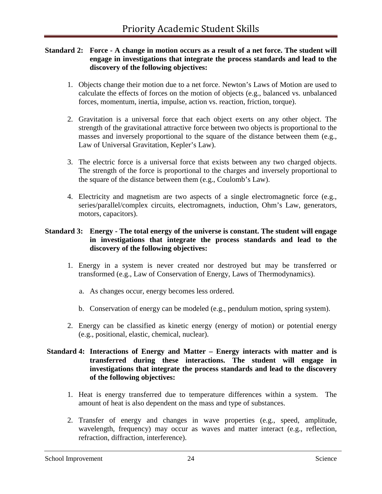#### **Standard 2: Force - A change in motion occurs as a result of a net force. The student will engage in investigations that integrate the process standards and lead to the discovery of the following objectives:**

- 1. Objects change their motion due to a net force. Newton's Laws of Motion are used to calculate the effects of forces on the motion of objects (e.g., balanced vs. unbalanced forces, momentum, inertia, impulse, action vs. reaction, friction, torque).
- 2. Gravitation is a universal force that each object exerts on any other object. The strength of the gravitational attractive force between two objects is proportional to the masses and inversely proportional to the square of the distance between them (e.g., Law of Universal Gravitation, Kepler's Law).
- 3. The electric force is a universal force that exists between any two charged objects. The strength of the force is proportional to the charges and inversely proportional to the square of the distance between them (e.g., Coulomb's Law).
- 4. Electricity and magnetism are two aspects of a single electromagnetic force (e.g., series/parallel/complex circuits, electromagnets, induction, Ohm's Law, generators, motors, capacitors).

## **Standard 3: Energy - The total energy of the universe is constant. The student will engage in investigations that integrate the process standards and lead to the discovery of the following objectives:**

- 1. Energy in a system is never created nor destroyed but may be transferred or transformed (e.g., Law of Conservation of Energy, Laws of Thermodynamics).
	- a. As changes occur, energy becomes less ordered.
	- b. Conservation of energy can be modeled (e.g., pendulum motion, spring system).
- 2. Energy can be classified as kinetic energy (energy of motion) or potential energy (e.g., positional, elastic, chemical, nuclear).

## **Standard 4: Interactions of Energy and Matter – Energy interacts with matter and is transferred during these interactions. The student will engage in investigations that integrate the process standards and lead to the discovery of the following objectives:**

- 1. Heat is energy transferred due to temperature differences within a system. The amount of heat is also dependent on the mass and type of substances.
- 2. Transfer of energy and changes in wave properties (e.g., speed, amplitude, wavelength, frequency) may occur as waves and matter interact (e.g., reflection, refraction, diffraction, interference).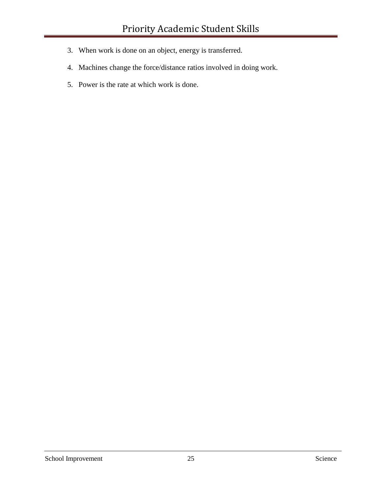- 3. When work is done on an object, energy is transferred.
- 4. Machines change the force/distance ratios involved in doing work.
- 5. Power is the rate at which work is done.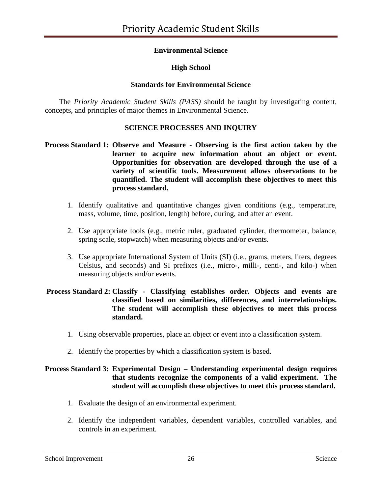## **Environmental Science**

## **High School**

### **Standards for Environmental Science**

The *Priority Academic Student Skills (PASS)* should be taught by investigating content, concepts, and principles of major themes in Environmental Science.

### **SCIENCE PROCESSES AND INQUIRY**

### **Process Standard 1: Observe and Measure - Observing is the first action taken by the learner to acquire new information about an object or event. Opportunities for observation are developed through the use of a variety of scientific tools. Measurement allows observations to be quantified. The student will accomplish these objectives to meet this process standard.**

- 1. Identify qualitative and quantitative changes given conditions (e.g., temperature, mass, volume, time, position, length) before, during, and after an event.
- 2. Use appropriate tools (e.g., metric ruler, graduated cylinder, thermometer, balance, spring scale, stopwatch) when measuring objects and/or events.
- 3. Use appropriate International System of Units (SI) (i.e., grams, meters, liters, degrees Celsius, and seconds) and SI prefixes (i.e., micro-, milli-, centi-, and kilo-) when measuring objects and/or events.

#### **Process Standard 2: Classify - Classifying establishes order. Objects and events are classified based on similarities, differences, and interrelationships. The student will accomplish these objectives to meet this process standard.**

- 1. Using observable properties, place an object or event into a classification system.
- 2. Identify the properties by which a classification system is based.

## **Process Standard 3: Experimental Design – Understanding experimental design requires that students recognize the components of a valid experiment. The student will accomplish these objectives to meet this process standard.**

- 1. Evaluate the design of an environmental experiment.
- 2. Identify the independent variables, dependent variables, controlled variables, and controls in an experiment.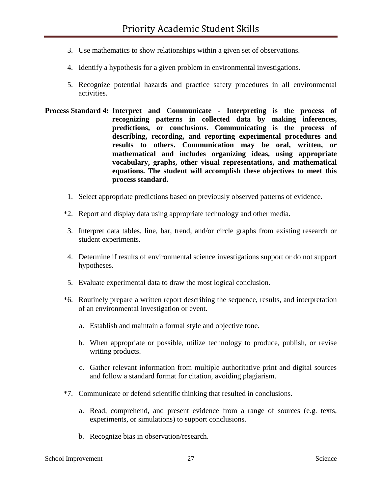- 3. Use mathematics to show relationships within a given set of observations.
- 4. Identify a hypothesis for a given problem in environmental investigations.
- 5. Recognize potential hazards and practice safety procedures in all environmental activities.
- **Process Standard 4: Interpret and Communicate - Interpreting is the process of recognizing patterns in collected data by making inferences, predictions, or conclusions. Communicating is the process of describing, recording, and reporting experimental procedures and results to others. Communication may be oral, written, or mathematical and includes organizing ideas, using appropriate vocabulary, graphs, other visual representations, and mathematical equations. The student will accomplish these objectives to meet this process standard.** 
	- 1. Select appropriate predictions based on previously observed patterns of evidence.
	- \*2. Report and display data using appropriate technology and other media.
	- 3. Interpret data tables, line, bar, trend, and/or circle graphs from existing research or student experiments.
	- 4. Determine if results of environmental science investigations support or do not support hypotheses.
	- 5. Evaluate experimental data to draw the most logical conclusion.
	- \*6. Routinely prepare a written report describing the sequence, results, and interpretation of an environmental investigation or event.
		- a. Establish and maintain a formal style and objective tone.
		- b. When appropriate or possible, utilize technology to produce, publish, or revise writing products.
		- c. Gather relevant information from multiple authoritative print and digital sources and follow a standard format for citation, avoiding plagiarism.
	- \*7. Communicate or defend scientific thinking that resulted in conclusions.
		- a. Read, comprehend, and present evidence from a range of sources (e.g. texts, experiments, or simulations) to support conclusions.
		- b. Recognize bias in observation/research.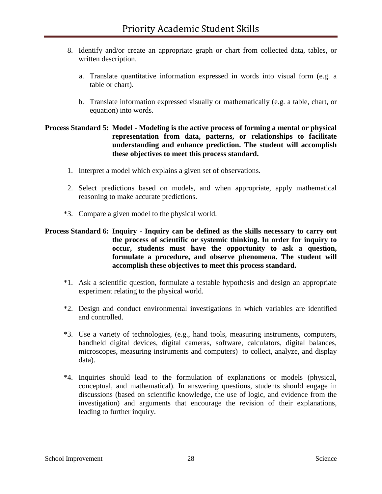- 8. Identify and/or create an appropriate graph or chart from collected data, tables, or written description.
	- a. Translate quantitative information expressed in words into visual form (e.g. a table or chart).
	- b. Translate information expressed visually or mathematically (e.g. a table, chart, or equation) into words.

#### **Process Standard 5: Model - Modeling is the active process of forming a mental or physical representation from data, patterns, or relationships to facilitate understanding and enhance prediction. The student will accomplish these objectives to meet this process standard.**

- 1. Interpret a model which explains a given set of observations.
- 2. Select predictions based on models, and when appropriate, apply mathematical reasoning to make accurate predictions.
- \*3. Compare a given model to the physical world.

### **Process Standard 6: Inquiry - Inquiry can be defined as the skills necessary to carry out the process of scientific or systemic thinking. In order for inquiry to occur, students must have the opportunity to ask a question, formulate a procedure, and observe phenomena. The student will accomplish these objectives to meet this process standard.**

- \*1. Ask a scientific question, formulate a testable hypothesis and design an appropriate experiment relating to the physical world.
- \*2. Design and conduct environmental investigations in which variables are identified and controlled.
- \*3. Use a variety of technologies, (e.g., hand tools, measuring instruments, computers, handheld digital devices, digital cameras, software, calculators, digital balances, microscopes, measuring instruments and computers) to collect, analyze, and display data).
- \*4. Inquiries should lead to the formulation of explanations or models (physical, conceptual, and mathematical). In answering questions, students should engage in discussions (based on scientific knowledge, the use of logic, and evidence from the investigation) and arguments that encourage the revision of their explanations, leading to further inquiry.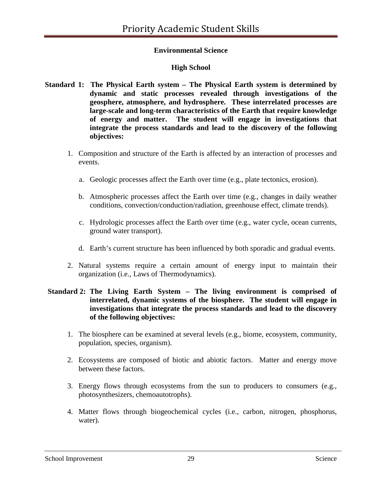## **Environmental Science**

## **High School**

- **Standard 1: The Physical Earth system – The Physical Earth system is determined by dynamic and static processes revealed through investigations of the geosphere, atmosphere, and hydrosphere. These interrelated processes are large-scale and long-term characteristics of the Earth that require knowledge of energy and matter. The student will engage in investigations that integrate the process standards and lead to the discovery of the following objectives:**
	- 1. Composition and structure of the Earth is affected by an interaction of processes and events.
		- a. Geologic processes affect the Earth over time (e.g., plate tectonics, erosion).
		- b. Atmospheric processes affect the Earth over time (e.g., changes in daily weather conditions, convection/conduction/radiation, greenhouse effect, climate trends).
		- c. Hydrologic processes affect the Earth over time (e.g., water cycle, ocean currents, ground water transport).
		- d. Earth's current structure has been influenced by both sporadic and gradual events.
	- 2. Natural systems require a certain amount of energy input to maintain their organization (i.e., Laws of Thermodynamics).

#### **Standard 2: The Living Earth System – The living environment is comprised of interrelated, dynamic systems of the biosphere. The student will engage in investigations that integrate the process standards and lead to the discovery of the following objectives:**

- 1. The biosphere can be examined at several levels (e.g., biome, ecosystem, community, population, species, organism).
- 2. Ecosystems are composed of biotic and abiotic factors. Matter and energy move between these factors.
- 3. Energy flows through ecosystems from the sun to producers to consumers (e.g., photosynthesizers, chemoautotrophs).
- 4. Matter flows through biogeochemical cycles (i.e., carbon, nitrogen, phosphorus, water).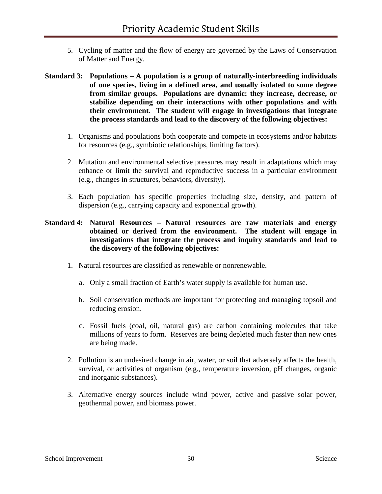- 5. Cycling of matter and the flow of energy are governed by the Laws of Conservation of Matter and Energy.
- **Standard 3: Populations – A population is a group of naturally-interbreeding individuals of one species, living in a defined area, and usually isolated to some degree from similar groups. Populations are dynamic: they increase, decrease, or stabilize depending on their interactions with other populations and with their environment. The student will engage in investigations that integrate the process standards and lead to the discovery of the following objectives:**
	- 1. Organisms and populations both cooperate and compete in ecosystems and/or habitats for resources (e.g., symbiotic relationships, limiting factors).
	- 2. Mutation and environmental selective pressures may result in adaptations which may enhance or limit the survival and reproductive success in a particular environment (e.g., changes in structures, behaviors, diversity).
	- 3. Each population has specific properties including size, density, and pattern of dispersion (e.g., carrying capacity and exponential growth).

#### **Standard 4: Natural Resources – Natural resources are raw materials and energy obtained or derived from the environment. The student will engage in investigations that integrate the process and inquiry standards and lead to the discovery of the following objectives:**

- 1. Natural resources are classified as renewable or nonrenewable.
	- a. Only a small fraction of Earth's water supply is available for human use.
	- b. Soil conservation methods are important for protecting and managing topsoil and reducing erosion.
	- c. Fossil fuels (coal, oil, natural gas) are carbon containing molecules that take millions of years to form. Reserves are being depleted much faster than new ones are being made.
- 2. Pollution is an undesired change in air, water, or soil that adversely affects the health, survival, or activities of organism (e.g., temperature inversion, pH changes, organic and inorganic substances).
- 3. Alternative energy sources include wind power, active and passive solar power, geothermal power, and biomass power.